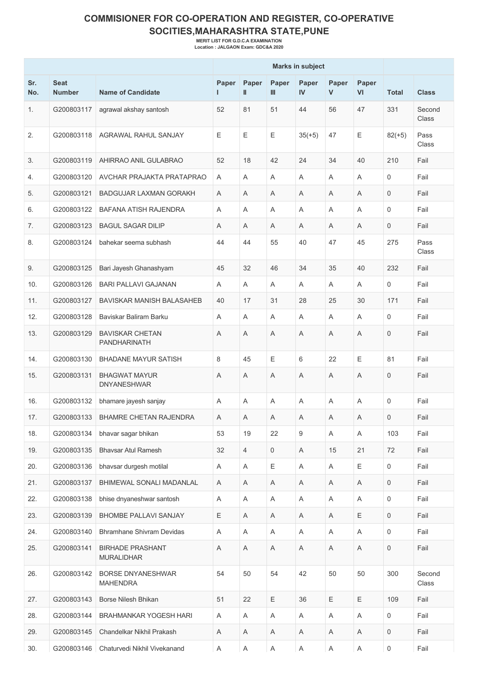## **COMMISIONER FOR CO-OPERATION AND REGISTER, CO-OPERATIVE SOCITIES,MAHARASHTRA STATE,PUNE**

**MERIT LIST FOR G.D.C.A EXAMINATION Location : JALGAON Exam: GDC&A 2020**

|            |                              |                                              | <b>Marks in subject</b> |                |            |             |                           |                    |                     |                 |
|------------|------------------------------|----------------------------------------------|-------------------------|----------------|------------|-------------|---------------------------|--------------------|---------------------|-----------------|
| Sr.<br>No. | <b>Seat</b><br><b>Number</b> | <b>Name of Candidate</b>                     | Paper                   | Paper<br>Ш     | Paper<br>Ш | Paper<br>IV | Paper<br>V                | Paper<br><b>VI</b> | <b>Total</b>        | <b>Class</b>    |
| 1.         | G200803117                   | agrawal akshay santosh                       | 52                      | 81             | 51         | 44          | 56                        | 47                 | 331                 | Second<br>Class |
| 2.         | G200803118                   | AGRAWAL RAHUL SANJAY                         | E                       | Е              | E          | $35(+5)$    | 47                        | Ε                  | $82(+5)$            | Pass<br>Class   |
| 3.         | G200803119                   | AHIRRAO ANIL GULABRAO                        | 52                      | 18             | 42         | 24          | 34                        | 40                 | 210                 | Fail            |
| 4.         | G200803120                   | AVCHAR PRAJAKTA PRATAPRAO                    | A                       | A              | A          | Α           | A                         | Α                  | 0                   | Fail            |
| 5.         | G200803121                   | <b>BADGUJAR LAXMAN GORAKH</b>                | A                       | A              | A          | Α           | A                         | A                  | 0                   | Fail            |
| 6.         | G200803122                   | <b>BAFANA ATISH RAJENDRA</b>                 | A                       | Α              | A          | A           | A                         | A                  | 0                   | Fail            |
| 7.         | G200803123                   | <b>BAGUL SAGAR DILIP</b>                     | A                       | A              | A          | A           | A                         | A                  | $\mathbf 0$         | Fail            |
| 8.         | G200803124                   | bahekar seema subhash                        | 44                      | 44             | 55         | 40          | 47                        | 45                 | 275                 | Pass<br>Class   |
| 9.         | G200803125                   | Bari Jayesh Ghanashyam                       | 45                      | 32             | 46         | 34          | 35                        | 40                 | 232                 | Fail            |
| 10.        | G200803126                   | <b>BARI PALLAVI GAJANAN</b>                  | A                       | Α              | A          | Α           | A                         | Α                  | 0                   | Fail            |
| 11.        | G200803127                   | BAVISKAR MANISH BALASAHEB                    | 40                      | 17             | 31         | 28          | 25                        | 30                 | 171                 | Fail            |
| 12.        | G200803128                   | Baviskar Baliram Barku                       | A                       | A              | A          | A           | A                         | A                  | 0                   | Fail            |
| 13.        | G200803129                   | <b>BAVISKAR CHETAN</b><br>PANDHARINATH       | A                       | A              | A          | Α           | A                         | Α                  | $\mathbf 0$         | Fail            |
| 14.        | G200803130                   | <b>BHADANE MAYUR SATISH</b>                  | 8                       | 45             | E          | 6           | 22                        | Ε                  | 81                  | Fail            |
| 15.        | G200803131                   | <b>BHAGWAT MAYUR</b><br><b>DNYANESHWAR</b>   | Α                       | Α              | A          | Α           | A                         | A                  | $\mathbf 0$         | Fail            |
| 16.        | G200803132                   | bhamare jayesh sanjay                        | A                       | Α              | A          | Α           | A                         | Α                  | 0                   | Fail            |
| 17.        | G200803133                   | BHAMRE CHETAN RAJENDRA                       | Α                       | Α              | Α          | Α           | Α                         | Α                  | 0                   | Fail            |
| 18.        | G200803134                   | bhavar sagar bhikan                          | 53                      | 19             | 22         | 9           | $\boldsymbol{\mathsf{A}}$ | Α                  | 103                 | Fail            |
| 19.        | G200803135                   | <b>Bhavsar Atul Ramesh</b>                   | 32                      | $\overline{4}$ | 0          | A           | 15                        | 21                 | 72                  | Fail            |
| 20.        | G200803136                   | bhavsar durgesh motilal                      | Α                       | Α              | Ε          | Α           | $\boldsymbol{\mathsf{A}}$ | Ε                  | $\mathsf{O}$        | Fail            |
| 21.        | G200803137                   | BHIMEWAL SONALI MADANLAL                     | Α                       | Α              | Α          | A           | A                         | A                  | 0                   | Fail            |
| 22.        | G200803138                   | bhise dnyaneshwar santosh                    | Α                       | A              | Α          | A           | Α                         | A                  | 0                   | Fail            |
| 23.        | G200803139                   | BHOMBE PALLAVI SANJAY                        | Ε                       | Α              | Α          | A           | Α                         | Ε                  | 0                   | Fail            |
| 24.        | G200803140                   | <b>Bhramhane Shivram Devidas</b>             | Α                       | A              | Α          | A           | Α                         | A                  | 0                   | Fail            |
| 25.        | G200803141                   | <b>BIRHADE PRASHANT</b><br><b>MURALIDHAR</b> | Α                       | A              | Α          | Α           | Α                         | Α                  | 0                   | Fail            |
| 26.        | G200803142                   | <b>BORSE DNYANESHWAR</b><br><b>MAHENDRA</b>  | 54                      | 50             | 54         | 42          | 50                        | 50                 | 300                 | Second<br>Class |
| 27.        | G200803143                   | Borse Nilesh Bhikan                          | 51                      | 22             | Ε          | 36          | Ε                         | Ε                  | 109                 | Fail            |
| 28.        | G200803144                   | BRAHMANKAR YOGESH HARI                       | Α                       | A              | Α          | A           | $\boldsymbol{\mathsf{A}}$ | Α                  | 0                   | Fail            |
| 29.        | G200803145                   | Chandelkar Nikhil Prakash                    | A                       | Α              | Α          | A           | Α                         | A                  | 0                   | Fail            |
| 30.        |                              | G200803146   Chaturvedi Nikhil Vivekanand    | Α                       | Α              | Α          | Α           | $\mathsf A$               | A                  | $\mathsf{O}\xspace$ | Fail            |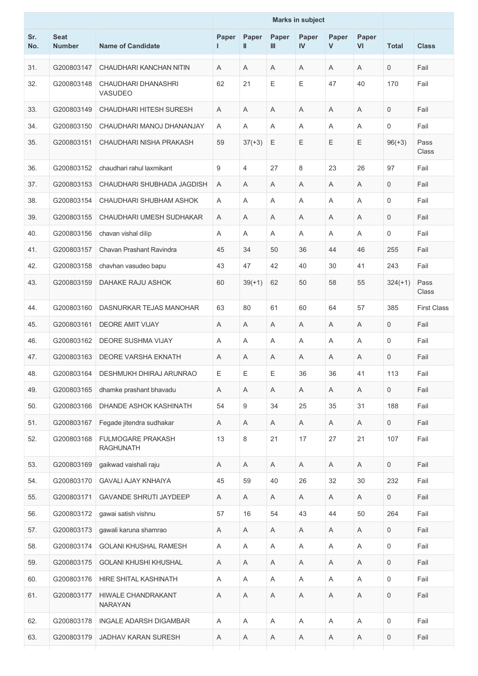|            |                              |                                       | <b>Marks in subject</b> |            |             |             |                           |             |              |                    |
|------------|------------------------------|---------------------------------------|-------------------------|------------|-------------|-------------|---------------------------|-------------|--------------|--------------------|
| Sr.<br>No. | <b>Seat</b><br><b>Number</b> | <b>Name of Candidate</b>              | Paper<br>L              | Paper<br>Ш | Paper<br>Ш  | Paper<br>IV | Paper<br>$\mathsf{V}$     | Paper<br>VI | <b>Total</b> | <b>Class</b>       |
| 31.        | G200803147                   | CHAUDHARI KANCHAN NITIN               | A                       | Α          | Α           | Α           | A                         | Α           | 0            | Fail               |
| 32.        | G200803148                   | CHAUDHARI DHANASHRI<br><b>VASUDEO</b> | 62                      | 21         | Ε           | Ε           | 47                        | 40          | 170          | Fail               |
| 33.        | G200803149                   | <b>CHAUDHARI HITESH SURESH</b>        | A                       | A          | A           | A           | A                         | A           | $\mathbf 0$  | Fail               |
| 34.        | G200803150                   | CHAUDHARI MANOJ DHANANJAY             | A                       | Α          | A           | Α           | A                         | A           | 0            | Fail               |
| 35.        | G200803151                   | CHAUDHARI NISHA PRAKASH               | 59                      | $37(+3)$   | Ε           | Ε           | Ε                         | Ε           | $96(+3)$     | Pass<br>Class      |
| 36.        | G200803152                   | chaudhari rahul laxmikant             | 9                       | 4          | 27          | 8           | 23                        | 26          | 97           | Fail               |
| 37.        | G200803153                   | CHAUDHARI SHUBHADA JAGDISH            | A                       | A          | Α           | A           | A                         | A           | 0            | Fail               |
| 38.        | G200803154                   | CHAUDHARI SHUBHAM ASHOK               | A                       | Α          | A           | A           | A                         | Α           | 0            | Fail               |
| 39.        | G200803155                   | CHAUDHARI UMESH SUDHAKAR              | Α                       | Α          | Α           | Α           | Α                         | Α           | 0            | Fail               |
| 40.        | G200803156                   | chavan vishal dilip                   | Α                       | Α          | A           | Α           | A                         | A           | 0            | Fail               |
| 41.        | G200803157                   | Chavan Prashant Ravindra              | 45                      | 34         | 50          | 36          | 44                        | 46          | 255          | Fail               |
| 42.        | G200803158                   | chavhan vasudeo bapu                  | 43                      | 47         | 42          | 40          | 30                        | 41          | 243          | Fail               |
| 43.        | G200803159                   | DAHAKE RAJU ASHOK                     | 60                      | $39(+1)$   | 62          | 50          | 58                        | 55          | $324(+1)$    | Pass<br>Class      |
| 44.        | G200803160                   | DASNURKAR TEJAS MANOHAR               | 63                      | 80         | 61          | 60          | 64                        | 57          | 385          | <b>First Class</b> |
| 45.        | G200803161                   | <b>DEORE AMIT VIJAY</b>               | A                       | Α          | A           | Α           | A                         | Α           | 0            | Fail               |
| 46.        | G200803162                   | <b>DEORE SUSHMA VIJAY</b>             | A                       | A          | A           | A           | A                         | A           | 0            | Fail               |
| 47.        | G200803163                   | DEORE VARSHA EKNATH                   | Α                       | Α          | Α           | Α           | A                         | A           | 0            | Fail               |
| 48.        |                              | G200803164   DESHMUKH DHIRAJ ARUNRAO  | Ε                       | Ε          | Ε           | 36          | 36                        | 41          | 113          | Fail               |
| 49.        | G200803165                   | dhamke prashant bhavadu               | A                       | A          | Α           | A           | A                         | A           | $\mathsf{O}$ | Fail               |
| 50.        | G200803166                   | DHANDE ASHOK KASHINATH                | 54                      | 9          | 34          | 25          | 35                        | 31          | 188          | Fail               |
| 51.        | G200803167                   | Fegade jitendra sudhakar              | Α                       | Α          | A           | Α           | $\mathsf{A}$              | Α           | $\mathsf{O}$ | Fail               |
| 52.        | G200803168                   | FULMOGARE PRAKASH<br><b>RAGHUNATH</b> | 13                      | 8          | 21          | 17          | 27                        | 21          | 107          | Fail               |
| 53.        | G200803169                   | gaikwad vaishali raju                 | Α                       | Α          | Α           | Α           | A                         | A           | $\mathsf{O}$ | Fail               |
| 54.        | G200803170                   | <b>GAVALI AJAY KNHAIYA</b>            | 45                      | 59         | 40          | 26          | 32                        | 30          | 232          | Fail               |
| 55.        | G200803171                   | <b>GAVANDE SHRUTI JAYDEEP</b>         | A                       | A          | A           | A           | A                         | A           | $\mathsf{O}$ | Fail               |
| 56.        | G200803172                   | gawai satish vishnu                   | 57                      | 16         | 54          | 43          | 44                        | 50          | 264          | Fail               |
| 57.        | G200803173                   | gawali karuna shamrao                 | A                       | A          | Α           | A           | A                         | A           | 0            | Fail               |
| 58.        | G200803174                   | <b>GOLANI KHUSHAL RAMESH</b>          | Α                       | Α          | Α           | Α           | Α                         | A           | 0            | Fail               |
| 59.        | G200803175                   | <b>GOLANI KHUSHI KHUSHAL</b>          | Α                       | Α          | Α           | A           | Α                         | A           | 0            | Fail               |
| 60.        | G200803176                   | HIRE SHITAL KASHINATH                 | Α                       | A          | A           | A           | A                         | A           | 0            | Fail               |
| 61.        | G200803177                   | HIWALE CHANDRAKANT<br><b>NARAYAN</b>  | Α                       | A          | Α           | Α           | A                         | Α           | $\mathsf 0$  | Fail               |
| 62.        | G200803178                   | INGALE ADARSH DIGAMBAR                | Α                       | Α          | $\mathsf A$ | Α           | $\boldsymbol{\mathsf{A}}$ | Α           | 0            | Fail               |
| 63.        | G200803179                   | <b>JADHAV KARAN SURESH</b>            | Α                       | Α          | Α           | Α           | A                         | A           | 0            | Fail               |
|            |                              |                                       |                         |            |             |             |                           |             |              |                    |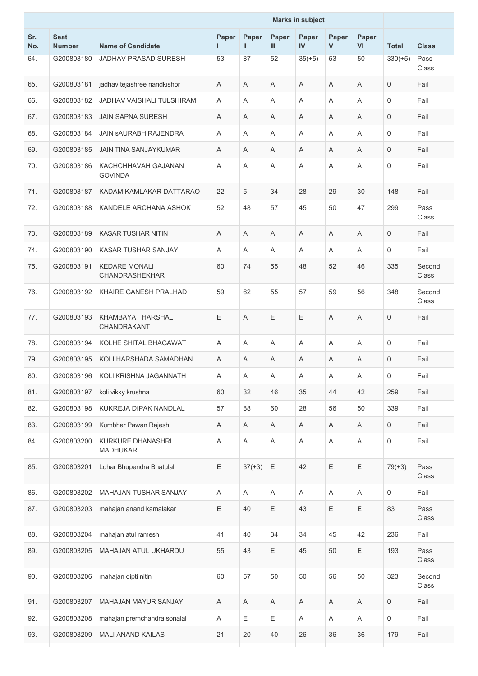|            |                              |                                        |             |                           |             | <b>Marks in subject</b> |                           |             |                     |                 |
|------------|------------------------------|----------------------------------------|-------------|---------------------------|-------------|-------------------------|---------------------------|-------------|---------------------|-----------------|
| Sr.<br>No. | <b>Seat</b><br><b>Number</b> | <b>Name of Candidate</b>               | Paper<br>н. | Paper<br>$\mathbf{I}$     | Paper<br>Ш  | Paper<br>IV             | Paper<br>$\mathsf{V}$     | Paper<br>VI | <b>Total</b>        | <b>Class</b>    |
| 64.        | G200803180                   | <b>JADHAV PRASAD SURESH</b>            | 53          | 87                        | 52          | $35(+5)$                | 53                        | 50          | $330(+5)$           | Pass<br>Class   |
| 65.        | G200803181                   | jadhav tejashree nandkishor            | Α           | A                         | A           | Α                       | Α                         | Α           | 0                   | Fail            |
| 66.        | G200803182                   | JADHAV VAISHALI TULSHIRAM              | A           | A                         | Α           | Α                       | Α                         | Α           | 0                   | Fail            |
| 67.        | G200803183                   | <b>JAIN SAPNA SURESH</b>               | A           | A                         | Α           | Α                       | A                         | Α           | 0                   | Fail            |
| 68.        | G200803184                   | JAIN SAURABH RAJENDRA                  | A           | A                         | A           | A                       | Α                         | A           | $\mathsf 0$         | Fail            |
| 69.        | G200803185                   | <b>JAIN TINA SANJAYKUMAR</b>           | Α           | A                         | A           | Α                       | Α                         | Α           | 0                   | Fail            |
| 70.        | G200803186                   | KACHCHHAVAH GAJANAN<br><b>GOVINDA</b>  | Α           | Α                         | A           | Α                       | Α                         | Α           | 0                   | Fail            |
| 71.        | G200803187                   | KADAM KAMLAKAR DATTARAO                | 22          | 5                         | 34          | 28                      | 29                        | 30          | 148                 | Fail            |
| 72.        | G200803188                   | KANDELE ARCHANA ASHOK                  | 52          | 48                        | 57          | 45                      | 50                        | 47          | 299                 | Pass<br>Class   |
| 73.        | G200803189                   | <b>KASAR TUSHAR NITIN</b>              | Α           | A                         | Α           | Α                       | Α                         | Α           | 0                   | Fail            |
| 74.        | G200803190                   | KASAR TUSHAR SANJAY                    | A           | A                         | Α           | A                       | A                         | Α           | 0                   | Fail            |
| 75.        | G200803191                   | <b>KEDARE MONALI</b><br>CHANDRASHEKHAR | 60          | 74                        | 55          | 48                      | 52                        | 46          | 335                 | Second<br>Class |
| 76.        | G200803192                   | KHAIRE GANESH PRALHAD                  | 59          | 62                        | 55          | 57                      | 59                        | 56          | 348                 | Second<br>Class |
| 77.        | G200803193                   | KHAMBAYAT HARSHAL<br>CHANDRAKANT       | E           | $\overline{A}$            | E           | Ε                       | A                         | A           | $\mathbf 0$         | Fail            |
| 78.        | G200803194                   | KOLHE SHITAL BHAGAWAT                  | A           | Α                         | Α           | Α                       | Α                         | Α           | 0                   | Fail            |
| 79.        | G200803195                   | KOLI HARSHADA SAMADHAN                 | Α           | A                         | A           | Α                       | Α                         | Α           | 0                   | Fail            |
| 80.        | G200803196                   | KOLI KRISHNA JAGANNATH                 | Α           | A                         | A           | Α                       | A                         | A           | 0                   | Fail            |
| 81.        | G200803197                   | koli vikky krushna                     | 60          | 32                        | 46          | 35                      | 44                        | 42          | 259                 | Fail            |
| 82.        | G200803198                   | KUKREJA DIPAK NANDLAL                  | 57          | 88                        | 60          | 28                      | 56                        | 50          | 339                 | Fail            |
| 83.        | G200803199                   | Kumbhar Pawan Rajesh                   | A           | Α                         | A           | Α                       | $\boldsymbol{\mathsf{A}}$ | A           | 0                   | Fail            |
| 84.        | G200803200                   | KURKURE DHANASHRI<br><b>MADHUKAR</b>   | A           | A                         | $\mathsf A$ | A                       | $\mathsf A$               | $\mathsf A$ | $\mathsf{O}\xspace$ | Fail            |
| 85.        | G200803201                   | Lohar Bhupendra Bhatulal               | Ε           | $37(+3)$                  | $\mathsf E$ | 42                      | Ε                         | $\mathsf E$ | $79(+3)$            | Pass<br>Class   |
| 86.        | G200803202                   | MAHAJAN TUSHAR SANJAY                  | A           | Α                         | A           | Α                       | $\boldsymbol{\mathsf{A}}$ | Α           | 0                   | Fail            |
| 87.        | G200803203                   | mahajan anand kamalakar                | E           | 40                        | $\mathsf E$ | 43                      | Ε                         | $\mathsf E$ | 83                  | Pass<br>Class   |
| 88.        | G200803204                   | mahajan atul ramesh                    | 41          | 40                        | 34          | 34                      | 45                        | 42          | 236                 | Fail            |
| 89.        | G200803205                   | MAHAJAN ATUL UKHARDU                   | 55          | 43                        | $\mathsf E$ | 45                      | 50                        | $\mathsf E$ | 193                 | Pass<br>Class   |
| 90.        | G200803206                   | mahajan dipti nitin                    | 60          | 57                        | 50          | 50                      | 56                        | 50          | 323                 | Second<br>Class |
| 91.        | G200803207                   | MAHAJAN MAYUR SANJAY                   | Α           | $\boldsymbol{\mathsf{A}}$ | A           | A                       | $\mathsf A$               | A           | 0                   | Fail            |
| 92.        | G200803208                   | mahajan premchandra sonalal            | A           | E                         | Ε           | Α                       | $\boldsymbol{\mathsf{A}}$ | A           | 0                   | Fail            |
| 93.        | G200803209                   | MALI ANAND KAILAS                      | 21          | 20                        | 40          | 26                      | 36                        | 36          | 179                 | Fail            |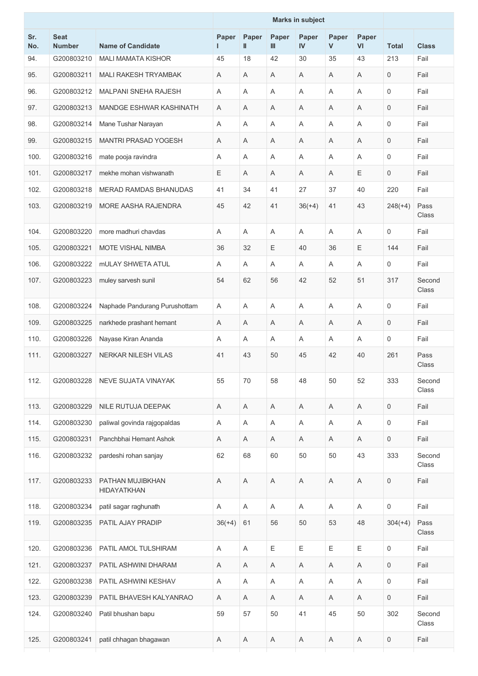|            |                              |                                        | <b>Marks in subject</b> |             |            |             |                |             |              |                 |
|------------|------------------------------|----------------------------------------|-------------------------|-------------|------------|-------------|----------------|-------------|--------------|-----------------|
| Sr.<br>No. | <b>Seat</b><br><b>Number</b> | <b>Name of Candidate</b>               | Paper<br>ı              | Paper<br>Ш  | Paper<br>Ш | Paper<br>IV | Paper<br>V     | Paper<br>VI | <b>Total</b> | <b>Class</b>    |
| 94.        | G200803210                   | <b>MALI MAMATA KISHOR</b>              | 45                      | 18          | 42         | 30          | 35             | 43          | 213          | Fail            |
| 95.        | G200803211                   | MALI RAKESH TRYAMBAK                   | A                       | A           | A          | Α           | A              | A           | 0            | Fail            |
| 96.        | G200803212                   | <b>MALPANI SNEHA RAJESH</b>            | A                       | Α           | Α          | Α           | A              | A           | 0            | Fail            |
| 97.        | G200803213                   | MANDGE ESHWAR KASHINATH                | A                       | Α           | A          | Α           | A              | A           | $\mathbf 0$  | Fail            |
| 98.        | G200803214                   | Mane Tushar Narayan                    | Α                       | Α           | A          | Α           | A              | Α           | 0            | Fail            |
| 99.        | G200803215                   | <b>MANTRI PRASAD YOGESH</b>            | A                       | A           | A          | A           | A              | A           | 0            | Fail            |
| 100.       | G200803216                   | mate pooja ravindra                    | A                       | A           | A          | A           | $\overline{A}$ | A           | 0            | Fail            |
| 101.       | G200803217                   | mekhe mohan vishwanath                 | E                       | A           | Α          | A           | A              | Ε           | $\mathbf 0$  | Fail            |
| 102.       | G200803218                   | MERAD RAMDAS BHANUDAS                  | 41                      | 34          | 41         | 27          | 37             | 40          | 220          | Fail            |
| 103.       | G200803219                   | <b>MORE AASHA RAJENDRA</b>             | 45                      | 42          | 41         | $36(+4)$    | 41             | 43          | $248(+4)$    | Pass<br>Class   |
| 104.       | G200803220                   | more madhuri chavdas                   | A                       | A           | A          | A           | A              | A           | 0            | Fail            |
| 105.       | G200803221                   | <b>MOTE VISHAL NIMBA</b>               | 36                      | 32          | Ε          | 40          | 36             | Ε           | 144          | Fail            |
| 106.       | G200803222                   | <b>mULAY SHWETA ATUL</b>               | Α                       | Α           | Α          | Α           | A              | Α           | 0            | Fail            |
| 107.       | G200803223                   | muley sarvesh sunil                    | 54                      | 62          | 56         | 42          | 52             | 51          | 317          | Second<br>Class |
| 108.       | G200803224                   | Naphade Pandurang Purushottam          | $\overline{A}$          | A           | A          | A           | $\overline{A}$ | A           | 0            | Fail            |
| 109.       | G200803225                   | narkhede prashant hemant               | Α                       | Α           | A          | A           | A              | A           | 0            | Fail            |
| 110.       | G200803226                   | Nayase Kiran Ananda                    | A                       | Α           | A          | A           | A              | Α           | $\mathsf 0$  | Fail            |
| 111.       | G200803227                   | NERKAR NILESH VILAS                    | 41                      | 43          | 50         | 45          | 42             | 40          | 261          | Pass<br>Class   |
| 112.       | G200803228                   | NEVE SUJATA VINAYAK                    | 55                      | 70          | 58         | 48          | 50             | 52          | 333          | Second<br>Class |
| 113.       | G200803229                   | NILE RUTUJA DEEPAK                     | Α                       | Α           | Α          | Α           | Α              | Α           | 0            | Fail            |
| 114.       | G200803230                   | paliwal govinda rajgopaldas            | A                       | Α           | A          | Α           | A              | A           | 0            | Fail            |
| 115.       | G200803231                   | Panchbhai Hemant Ashok                 | A                       | Α           | Α          | Α           | A              | A           | $\mathsf{O}$ | Fail            |
| 116.       | G200803232                   | pardeshi rohan sanjay                  | 62                      | 68          | 60         | 50          | 50             | 43          | 333          | Second<br>Class |
| 117.       | G200803233                   | PATHAN MUJIBKHAN<br><b>HIDAYATKHAN</b> | A                       | Α           | Α          | Α           | Α              | Α           | $\mathsf 0$  | Fail            |
| 118.       | G200803234                   | patil sagar raghunath                  | Α                       | Α           | Α          | Α           | A              | A           | $\mathsf{O}$ | Fail            |
| 119.       | G200803235                   | PATIL AJAY PRADIP                      | $36(+4)$                | 61          | 56         | 50          | 53             | 48          | $304(+4)$    | Pass<br>Class   |
| 120.       | G200803236                   | PATIL AMOL TULSHIRAM                   | A                       | Α           | Ε          | Ε           | Ε              | Ε           | 0            | Fail            |
| 121.       | G200803237                   | PATIL ASHWINI DHARAM                   | Α                       | Α           | Α          | Α           | Α              | Α           | 0            | Fail            |
| 122.       | G200803238                   | PATIL ASHWINI KESHAV                   | Α                       | Α           | A          | Α           | A              | A           | 0            | Fail            |
| 123.       | G200803239                   | PATIL BHAVESH KALYANRAO                | A                       | Α           | Α          | A           | Α              | A           | $\mathsf{O}$ | Fail            |
| 124.       | G200803240                   | Patil bhushan bapu                     | 59                      | 57          | 50         | 41          | 45             | 50          | 302          | Second<br>Class |
| 125.       | G200803241                   | patil chhagan bhagawan                 | A                       | $\mathsf A$ | Α          | Α           | Α              | A           | 0            | Fail            |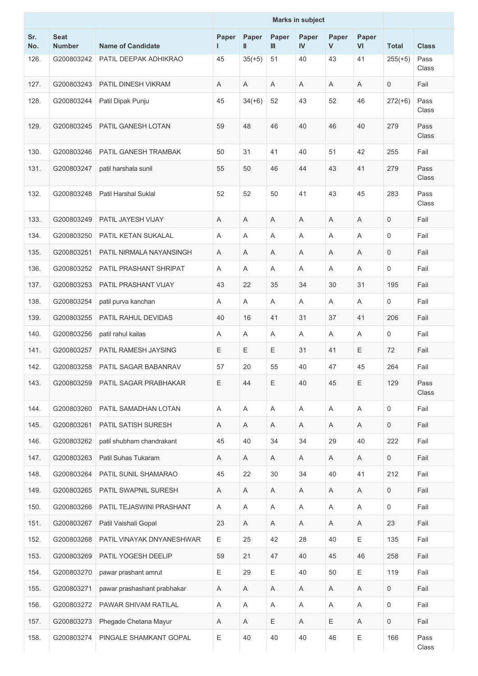|            |                              |                             | <b>Marks in subject</b>   |                       |              |                       |             |             |                     |               |
|------------|------------------------------|-----------------------------|---------------------------|-----------------------|--------------|-----------------------|-------------|-------------|---------------------|---------------|
| Sr.<br>No. | <b>Seat</b><br><b>Number</b> | <b>Name of Candidate</b>    | Paper<br>г                | Paper<br>$\mathbf{I}$ | Paper<br>III | Paper<br>$\mathbf{N}$ | Paper<br>V  | Paper<br>VI | <b>Total</b>        | <b>Class</b>  |
| 126.       | G200803242                   | PATIL DEEPAK ADHIKRAO       | 45                        | $35(+5)$              | 51           | 40                    | 43          | 41          | $255(+5)$           | Pass<br>Class |
| 127.       | G200803243                   | <b>PATIL DINESH VIKRAM</b>  | A                         | A                     | A            | Α                     | A           | A           | $\mathbf 0$         | Fail          |
| 128.       | G200803244                   | Patil Dipak Punju           | 45                        | $34(+6)$              | 52           | 43                    | 52          | 46          | $272(+6)$           | Pass<br>Class |
| 129.       | G200803245                   | PATIL GANESH LOTAN          | 59                        | 48                    | 46           | 40                    | 46          | 40          | 279                 | Pass<br>Class |
| 130.       | G200803246                   | PATIL GANESH TRAMBAK        | 50                        | 31                    | 41           | 40                    | 51          | 42          | 255                 | Fail          |
| 131.       | G200803247                   | patil harshala sunil        | 55                        | 50                    | 46           | 44                    | 43          | 41          | 279                 | Pass<br>Class |
| 132.       | G200803248                   | <b>Patil Harshal Suklal</b> | 52                        | 52                    | 50           | 41                    | 43          | 45          | 283                 | Pass<br>Class |
| 133.       | G200803249                   | PATIL JAYESH VIJAY          | Α                         | Α                     | A            | Α                     | A           | A           | $\mathbf 0$         | Fail          |
| 134.       | G200803250                   | PATIL KETAN SUKALAL         | A                         | A                     | A            | Α                     | A           | Α           | $\mathbf 0$         | Fail          |
| 135.       | G200803251                   | PATIL NIRMALA NAYANSINGH    | A                         | Α                     | A            | Α                     | Α           | A           | $\mathbf 0$         | Fail          |
| 136.       | G200803252                   | PATIL PRASHANT SHRIPAT      | A                         | Α                     | A            | Α                     | A           | A           | $\mathbf 0$         | Fail          |
| 137.       | G200803253                   | PATIL PRASHANT VIJAY        | 43                        | 22                    | 35           | 34                    | 30          | 31          | 195                 | Fail          |
| 138.       | G200803254                   | patil purva kanchan         | A                         | A                     | A            | Α                     | A           | A           | $\mathbf 0$         | Fail          |
| 139.       | G200803255                   | PATIL RAHUL DEVIDAS         | 40                        | 16                    | 41           | 31                    | 37          | 41          | 206                 | Fail          |
| 140.       | G200803256                   | patil rahul kailas          | Α                         | Α                     | A            | Α                     | A           | A           | 0                   | Fail          |
| 141.       | G200803257                   | PATIL RAMESH JAYSING        | Ε                         | Ε                     | $\mathsf E$  | 31                    | 41          | Ε           | 72                  | Fail          |
| 142.       | G200803258                   | PATIL SAGAR BABANRAV        | 57                        | 20                    | 55           | 40                    | 47          | 45          | 264                 | Fail          |
| 143.       | G200803259                   | PATIL SAGAR PRABHAKAR       | Ε                         | 44                    | Ε            | 40                    | 45          | Ε           | 129                 | Pass<br>Class |
| 144.       | G200803260                   | PATIL SAMADHAN LOTAN        | $\boldsymbol{\mathsf{A}}$ | $\mathsf A$           | A            | Α                     | $\mathsf A$ | Α           | $\mathsf{O}\xspace$ | Fail          |
| 145.       | G200803261                   | PATIL SATISH SURESH         | A                         | A                     | A            | A                     | Α           | A           | $\mathbf 0$         | Fail          |
| 146.       | G200803262                   | patil shubham chandrakant   | 45                        | 40                    | 34           | 34                    | 29          | 40          | 222                 | Fail          |
| 147.       | G200803263                   | Patil Suhas Tukaram         | A                         | Α                     | A            | Α                     | A           | Α           | $\mathsf{O}$        | Fail          |
| 148.       | G200803264                   | PATIL SUNIL SHAMARAO        | 45                        | 22                    | 30           | 34                    | 40          | 41          | 212                 | Fail          |
| 149.       | G200803265                   | PATIL SWAPNIL SURESH        | Α                         | Α                     | Α            | Α                     | Α           | Α           | $\mathsf{O}\xspace$ | Fail          |
| 150.       | G200803266                   | PATIL TEJASWINI PRASHANT    | A                         | Α                     | Α            | Α                     | Α           | A           | 0                   | Fail          |
| 151.       | G200803267                   | Patil Vaishali Gopal        | 23                        | Α                     | Α            | Α                     | Α           | Α           | 23                  | Fail          |
| 152.       | G200803268                   | PATIL VINAYAK DNYANESHWAR   | Ε                         | 25                    | 42           | 28                    | 40          | Ε           | 135                 | Fail          |
| 153.       | G200803269                   | PATIL YOGESH DEELIP         | 59                        | 21                    | 47           | 40                    | 45          | 46          | 258                 | Fail          |
| 154.       | G200803270                   | pawar prashant amrut        | Ε                         | 29                    | Ε            | 40                    | 50          | Ε           | 119                 | Fail          |
| 155.       | G200803271                   | pawar prashashant prabhakar | A                         | A                     | A            | A                     | A           | A           | $\mathbf 0$         | Fail          |
| 156.       | G200803272                   | PAWAR SHIVAM RATILAL        | Α                         | Α                     | A            | Α                     | Α           | Α           | $\mathsf{O}\xspace$ | Fail          |
| 157.       | G200803273                   | Phegade Chetana Mayur       | A                         | Α                     | Ε            | Α                     | Е           | A           | $\mathbf 0$         | Fail          |
| 158.       | G200803274                   | PINGALE SHAMKANT GOPAL      | Ε                         | 40                    | 40           | 40                    | 46          | Ε           | 166                 | Pass<br>Class |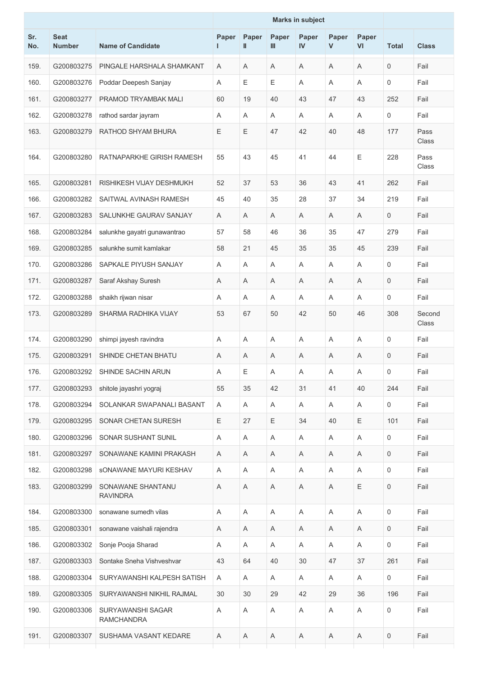|            |                              |                                        |            |                       |              | <b>Marks in subject</b> |                       |             |                     |                 |
|------------|------------------------------|----------------------------------------|------------|-----------------------|--------------|-------------------------|-----------------------|-------------|---------------------|-----------------|
| Sr.<br>No. | <b>Seat</b><br><b>Number</b> | <b>Name of Candidate</b>               | Paper<br>н | Paper<br>$\mathbf{I}$ | Paper<br>III | Paper<br>IV             | Paper<br>$\mathsf{V}$ | Paper<br>VI | <b>Total</b>        | <b>Class</b>    |
| 159.       | G200803275                   | PINGALE HARSHALA SHAMKANT              | Α          | A                     | A            | Α                       | A                     | Α           | $\mathsf{O}\xspace$ | Fail            |
| 160.       | G200803276                   | Poddar Deepesh Sanjay                  | Α          | Е                     | Е            | Α                       | Α                     | Α           | $\mathbf 0$         | Fail            |
| 161.       | G200803277                   | PRAMOD TRYAMBAK MALI                   | 60         | 19                    | 40           | 43                      | 47                    | 43          | 252                 | Fail            |
| 162.       | G200803278                   | rathod sardar jayram                   | Α          | Α                     | Α            | Α                       | Α                     | Α           | $\mathbf 0$         | Fail            |
| 163.       | G200803279                   | RATHOD SHYAM BHURA                     | E          | Ε                     | 47           | 42                      | 40                    | 48          | 177                 | Pass<br>Class   |
| 164.       | G200803280                   | RATNAPARKHE GIRISH RAMESH              | 55         | 43                    | 45           | 41                      | 44                    | Ε           | 228                 | Pass<br>Class   |
| 165.       | G200803281                   | RISHIKESH VIJAY DESHMUKH               | 52         | 37                    | 53           | 36                      | 43                    | 41          | 262                 | Fail            |
| 166.       | G200803282                   | SAITWAL AVINASH RAMESH                 | 45         | 40                    | 35           | 28                      | 37                    | 34          | 219                 | Fail            |
| 167.       | G200803283                   | SALUNKHE GAURAV SANJAY                 | Α          | A                     | A            | Α                       | A                     | A           | $\mathbf 0$         | Fail            |
| 168.       | G200803284                   | salunkhe gayatri gunawantrao           | 57         | 58                    | 46           | 36                      | 35                    | 47          | 279                 | Fail            |
| 169.       | G200803285                   | salunkhe sumit kamlakar                | 58         | 21                    | 45           | 35                      | 35                    | 45          | 239                 | Fail            |
| 170.       | G200803286                   | SAPKALE PIYUSH SANJAY                  | Α          | Α                     | Α            | Α                       | Α                     | Α           | $\mathbf 0$         | Fail            |
| 171.       | G200803287                   | Saraf Akshay Suresh                    | Α          | Α                     | Α            | Α                       | A                     | Α           | $\mathbf 0$         | Fail            |
| 172.       | G200803288                   | shaikh rijwan nisar                    | Α          | A                     | A            | Α                       | A                     | Α           | $\mathsf{O}\xspace$ | Fail            |
| 173.       | G200803289                   | SHARMA RADHIKA VIJAY                   | 53         | 67                    | 50           | 42                      | 50                    | 46          | 308                 | Second<br>Class |
| 174.       | G200803290                   | shimpi jayesh ravindra                 | A          | Α                     | A            | Α                       | A                     | Α           | $\mathbf 0$         | Fail            |
| 175.       | G200803291                   | SHINDE CHETAN BHATU                    | Α          | Α                     | Α            | Α                       | Α                     | A           | 0                   | Fail            |
| 176.       | G200803292                   | SHINDE SACHIN ARUN                     | Α          | Ε                     | Α            | Α                       | Α                     | Α           | 0                   | Fail            |
| 177.       | G200803293                   | shitole jayashri yograj                | 55         | 35                    | 42           | 31                      | 41                    | 40          | 244                 | Fail            |
| 178.       | G200803294                   | SOLANKAR SWAPANALI BASANT              | A          | A                     | A            | A                       | A                     | A           | 0                   | Fail            |
| 179.       | G200803295                   | SONAR CHETAN SURESH                    | E          | 27                    | Ε            | 34                      | 40                    | E           | 101                 | Fail            |
| 180.       | G200803296                   | SONAR SUSHANT SUNIL                    | A          | A                     | A            | A                       | Α                     | A           | 0                   | Fail            |
| 181.       | G200803297                   | SONAWANE KAMINI PRAKASH                | A          | Α                     | Α            | Α                       | Α                     | A           | $\mathbf 0$         | Fail            |
| 182.       | G200803298                   | SONAWANE MAYURI KESHAV                 | Α          | A                     | A            | Α                       | A                     | A           | 0                   | Fail            |
| 183.       | G200803299                   | SONAWANE SHANTANU<br><b>RAVINDRA</b>   | A          | Α                     | Α            | Α                       | Α                     | Е           | 0                   | Fail            |
| 184.       | G200803300                   | sonawane sumedh vilas                  | Α          | Α                     | Α            | Α                       | Α                     | Α           | 0                   | Fail            |
| 185.       | G200803301                   | sonawane vaishali rajendra             | Α          | A                     | Α            | Α                       | A                     | A           | $\mathbf 0$         | Fail            |
| 186.       | G200803302                   | Sonje Pooja Sharad                     | A          | Α                     | A            | A                       | Α                     | A           | 0                   | Fail            |
| 187.       | G200803303                   | Sontake Sneha Vishveshvar              | 43         | 64                    | 40           | 30                      | 47                    | 37          | 261                 | Fail            |
| 188.       | G200803304                   | SURYAWANSHI KALPESH SATISH             | Α          | A                     | Α            | A                       | A                     | A           | 0                   | Fail            |
| 189.       | G200803305                   | SURYAWANSHI NIKHIL RAJMAL              | 30         | 30                    | 29           | 42                      | 29                    | 36          | 196                 | Fail            |
| 190.       | G200803306                   | SURYAWANSHI SAGAR<br><b>RAMCHANDRA</b> | Α          | Α                     | Α            | Α                       | Α                     | A           | $\mathsf{O}\xspace$ | Fail            |
| 191.       | G200803307                   | SUSHAMA VASANT KEDARE                  | A          | Α                     | Α            | A                       | A                     | A           | 0                   | Fail            |